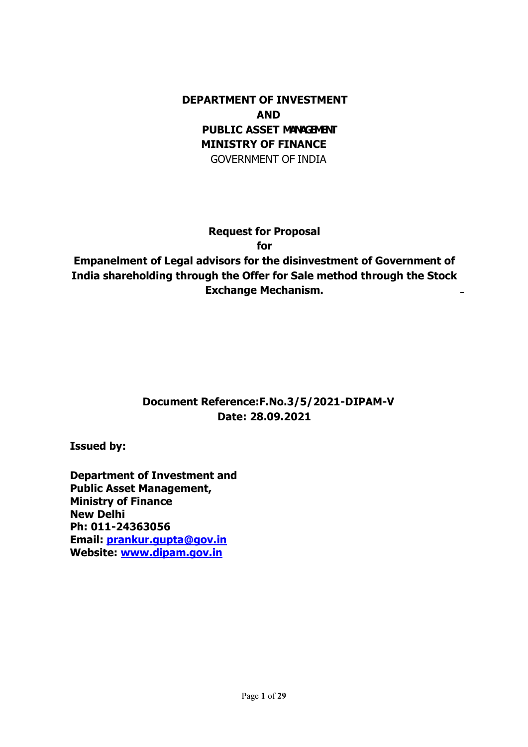## DEPARTMENT OF INVESTMENT AND PUBLIC ASSET MANAGEMENT MINISTRY OF FINANCE GOVERNMENT OF INDIA

### Request for Proposal

for

Empanelment of Legal advisors for the disinvestment of Government of India shareholding through the Offer for Sale method through the Stock Exchange Mechanism.

## Document Reference:F.No.3/5/2021-DIPAM-V Date: 28.09.2021

Issued by:

Department of Investment and Public Asset Management, Ministry of Finance New Delhi Ph: 011-24363056 Email: prankur.gupta@gov.in Website: www.dipam.gov.in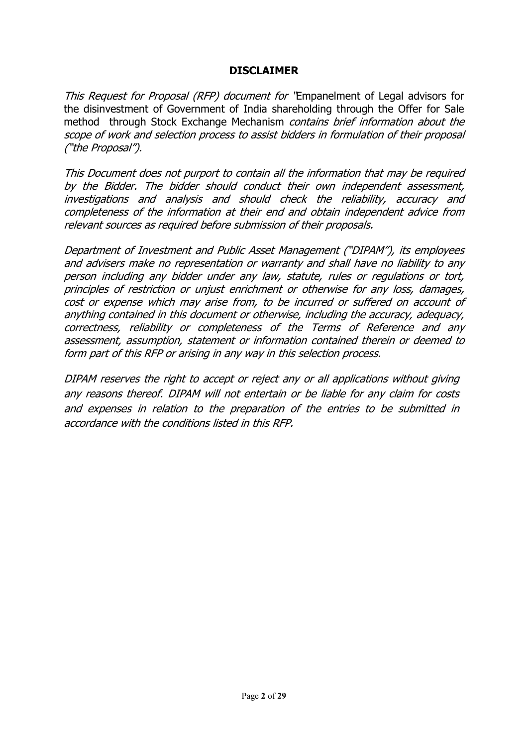#### DISCLAIMER

This Request for Proposal (RFP) document for 'Empanelment of Legal advisors for the disinvestment of Government of India shareholding through the Offer for Sale method through Stock Exchange Mechanism *contains brief information about the* scope of work and selection process to assist bidders in formulation of their proposal ("the Proposal").

This Document does not purport to contain all the information that may be required by the Bidder. The bidder should conduct their own independent assessment, investigations and analysis and should check the reliability, accuracy and completeness of the information at their end and obtain independent advice from relevant sources as required before submission of their proposals.

Department of Investment and Public Asset Management ("DIPAM"), its employees and advisers make no representation or warranty and shall have no liability to any person including any bidder under any law, statute, rules or regulations or tort, principles of restriction or unjust enrichment or otherwise for any loss, damages, cost or expense which may arise from, to be incurred or suffered on account of anything contained in this document or otherwise, including the accuracy, adequacy, correctness, reliability or completeness of the Terms of Reference and any assessment, assumption, statement or information contained therein or deemed to form part of this RFP or arising in any way in this selection process.

DIPAM reserves the right to accept or reject any or all applications without giving any reasons thereof. DIPAM will not entertain or be liable for any claim for costs and expenses in relation to the preparation of the entries to be submitted in accordance with the conditions listed in this RFP.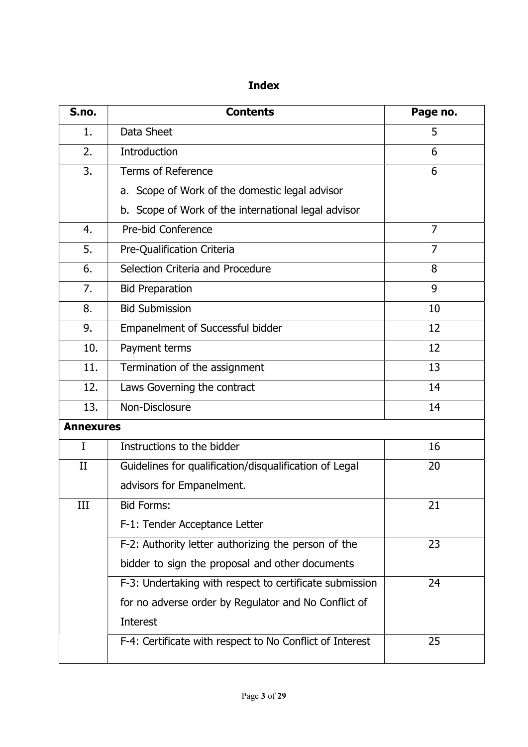# Index

| S.no.            | <b>Contents</b>                                          | Page no.       |
|------------------|----------------------------------------------------------|----------------|
| 1.               | Data Sheet                                               | 5              |
| 2.               | Introduction                                             | 6              |
| 3.               | <b>Terms of Reference</b>                                | 6              |
|                  | a. Scope of Work of the domestic legal advisor           |                |
|                  | b. Scope of Work of the international legal advisor      |                |
| 4.               | Pre-bid Conference                                       | $\overline{7}$ |
| 5.               | Pre-Qualification Criteria                               | $\overline{7}$ |
| 6.               | Selection Criteria and Procedure                         | 8              |
| 7.               | <b>Bid Preparation</b>                                   | 9              |
| 8.               | <b>Bid Submission</b>                                    | 10             |
| 9.               | <b>Empanelment of Successful bidder</b>                  | 12             |
| 10.              | Payment terms                                            | 12             |
| 11.              | Termination of the assignment                            | 13             |
| 12.              | Laws Governing the contract                              | 14             |
| 13.              | Non-Disclosure                                           | 14             |
| <b>Annexures</b> |                                                          |                |
| $\mathbf I$      | Instructions to the bidder                               | 16             |
| $_{\rm II}$      | Guidelines for qualification/disqualification of Legal   | 20             |
|                  | advisors for Empanelment.                                |                |
| Ш                | <b>Bid Forms:</b>                                        | 21             |
|                  | F-1: Tender Acceptance Letter                            |                |
|                  | F-2: Authority letter authorizing the person of the      | 23             |
|                  | bidder to sign the proposal and other documents          |                |
|                  | F-3: Undertaking with respect to certificate submission  | 24             |
|                  | for no adverse order by Regulator and No Conflict of     |                |
|                  | Interest                                                 |                |
|                  | F-4: Certificate with respect to No Conflict of Interest | 25             |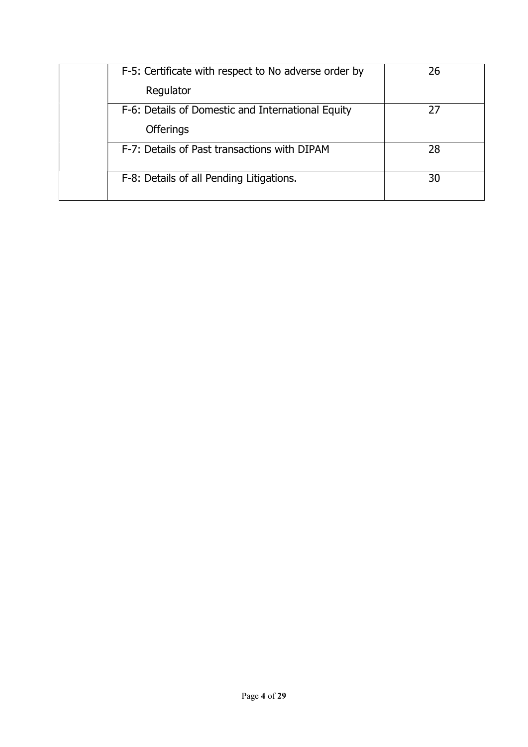|  | F-5: Certificate with respect to No adverse order by | 26 |
|--|------------------------------------------------------|----|
|  | Regulator                                            |    |
|  | F-6: Details of Domestic and International Equity    | 27 |
|  | <b>Offerings</b>                                     |    |
|  | F-7: Details of Past transactions with DIPAM         | 28 |
|  | F-8: Details of all Pending Litigations.             | 30 |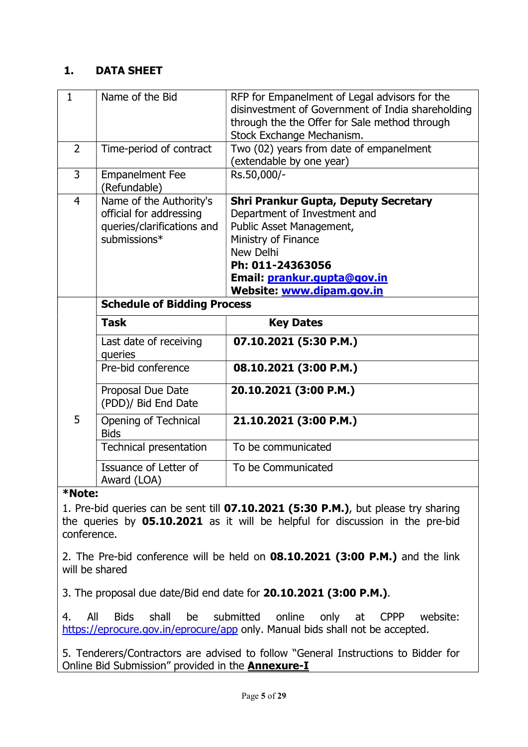### 1. DATA SHEET

| $\mathbf{1}$   | Name of the Bid                                                                                  | RFP for Empanelment of Legal advisors for the<br>disinvestment of Government of India shareholding<br>through the the Offer for Sale method through<br>Stock Exchange Mechanism.                                                   |  |  |
|----------------|--------------------------------------------------------------------------------------------------|------------------------------------------------------------------------------------------------------------------------------------------------------------------------------------------------------------------------------------|--|--|
| $\overline{2}$ | Time-period of contract                                                                          | Two (02) years from date of empanelment<br>(extendable by one year)                                                                                                                                                                |  |  |
| 3              | <b>Empanelment Fee</b><br>(Refundable)                                                           | Rs.50,000/-                                                                                                                                                                                                                        |  |  |
| $\overline{4}$ | Name of the Authority's<br>official for addressing<br>queries/clarifications and<br>submissions* | <b>Shri Prankur Gupta, Deputy Secretary</b><br>Department of Investment and<br>Public Asset Management,<br>Ministry of Finance<br>New Delhi<br>Ph: 011-24363056<br>Email: prankur.gupta@gov.in<br><b>Website: www.dipam.gov.in</b> |  |  |
|                |                                                                                                  |                                                                                                                                                                                                                                    |  |  |
|                | <b>Schedule of Bidding Process</b>                                                               |                                                                                                                                                                                                                                    |  |  |
|                | <b>Task</b>                                                                                      | <b>Key Dates</b>                                                                                                                                                                                                                   |  |  |
|                | Last date of receiving<br>queries                                                                | 07.10.2021 (5:30 P.M.)                                                                                                                                                                                                             |  |  |
|                | Pre-bid conference                                                                               | 08.10.2021 (3:00 P.M.)                                                                                                                                                                                                             |  |  |
|                | Proposal Due Date<br>(PDD)/ Bid End Date                                                         | 20.10.2021 (3:00 P.M.)                                                                                                                                                                                                             |  |  |
| 5              | Opening of Technical<br><b>Bids</b>                                                              | 21.10.2021 (3:00 P.M.)                                                                                                                                                                                                             |  |  |
|                | <b>Technical presentation</b>                                                                    | To be communicated                                                                                                                                                                                                                 |  |  |
| *Note:         | Issuance of Letter of<br>Award (LOA)                                                             | To be Communicated                                                                                                                                                                                                                 |  |  |

1. Pre-bid queries can be sent till 07.10.2021 (5:30 P.M.), but please try sharing the queries by 05.10.2021 as it will be helpful for discussion in the pre-bid conference.

2. The Pre-bid conference will be held on 08.10.2021 (3:00 P.M.) and the link will be shared

3. The proposal due date/Bid end date for 20.10.2021 (3:00 P.M.).

4. All Bids shall be submitted online only at CPPP website: https://eprocure.gov.in/eprocure/app only. Manual bids shall not be accepted.

5. Tenderers/Contractors are advised to follow "General Instructions to Bidder for Online Bid Submission" provided in the **Annexure-I**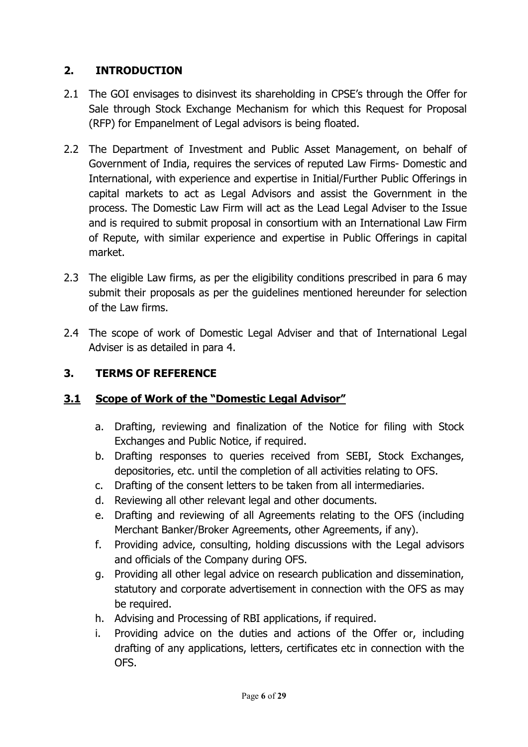## 2. INTRODUCTION

- 2.1 The GOI envisages to disinvest its shareholding in CPSE's through the Offer for Sale through Stock Exchange Mechanism for which this Request for Proposal (RFP) for Empanelment of Legal advisors is being floated.
- 2.2 The Department of Investment and Public Asset Management, on behalf of Government of India, requires the services of reputed Law Firms- Domestic and International, with experience and expertise in Initial/Further Public Offerings in capital markets to act as Legal Advisors and assist the Government in the process. The Domestic Law Firm will act as the Lead Legal Adviser to the Issue and is required to submit proposal in consortium with an International Law Firm of Repute, with similar experience and expertise in Public Offerings in capital market.
- 2.3 The eligible Law firms, as per the eligibility conditions prescribed in para 6 may submit their proposals as per the guidelines mentioned hereunder for selection of the Law firms.
- 2.4 The scope of work of Domestic Legal Adviser and that of International Legal Adviser is as detailed in para 4.

## 3. TERMS OF REFERENCE

### 3.1 Scope of Work of the "Domestic Legal Advisor"

- a. Drafting, reviewing and finalization of the Notice for filing with Stock Exchanges and Public Notice, if required.
- b. Drafting responses to queries received from SEBI, Stock Exchanges, depositories, etc. until the completion of all activities relating to OFS.
- c. Drafting of the consent letters to be taken from all intermediaries.
- d. Reviewing all other relevant legal and other documents.
- e. Drafting and reviewing of all Agreements relating to the OFS (including Merchant Banker/Broker Agreements, other Agreements, if any).
- f. Providing advice, consulting, holding discussions with the Legal advisors and officials of the Company during OFS.
- g. Providing all other legal advice on research publication and dissemination, statutory and corporate advertisement in connection with the OFS as may be required.
- h. Advising and Processing of RBI applications, if required.
- i. Providing advice on the duties and actions of the Offer or, including drafting of any applications, letters, certificates etc in connection with the OFS.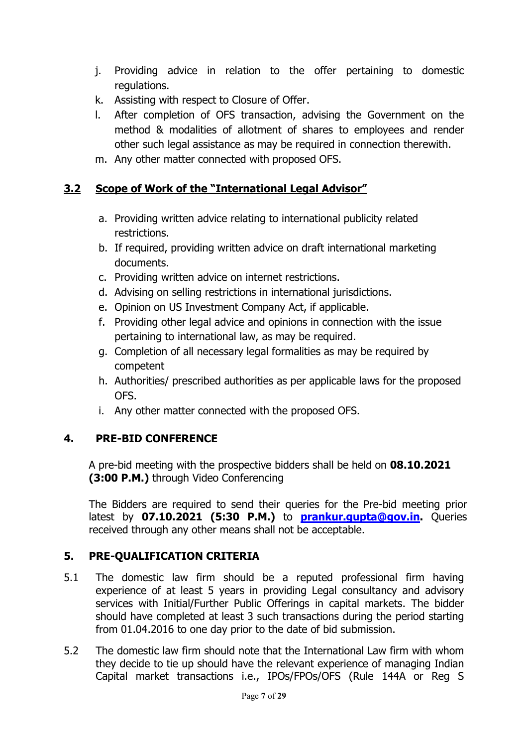- j. Providing advice in relation to the offer pertaining to domestic regulations.
- k. Assisting with respect to Closure of Offer.
- l. After completion of OFS transaction, advising the Government on the method & modalities of allotment of shares to employees and render other such legal assistance as may be required in connection therewith.
- m. Any other matter connected with proposed OFS.

### 3.2 Scope of Work of the "International Legal Advisor"

- a. Providing written advice relating to international publicity related restrictions.
- b. If required, providing written advice on draft international marketing documents.
- c. Providing written advice on internet restrictions.
- d. Advising on selling restrictions in international jurisdictions.
- e. Opinion on US Investment Company Act, if applicable.
- f. Providing other legal advice and opinions in connection with the issue pertaining to international law, as may be required.
- g. Completion of all necessary legal formalities as may be required by competent
- h. Authorities/ prescribed authorities as per applicable laws for the proposed OFS.
- i. Any other matter connected with the proposed OFS.

### 4. PRE-BID CONFERENCE

A pre-bid meeting with the prospective bidders shall be held on 08.10.2021 (3:00 P.M.) through Video Conferencing

The Bidders are required to send their queries for the Pre-bid meeting prior latest by 07.10.2021 (5:30 P.M.) to **prankur.gupta@gov.in.** Queries received through any other means shall not be acceptable.

### 5. PRE-QUALIFICATION CRITERIA

- 5.1 The domestic law firm should be a reputed professional firm having experience of at least 5 years in providing Legal consultancy and advisory services with Initial/Further Public Offerings in capital markets. The bidder should have completed at least 3 such transactions during the period starting from 01.04.2016 to one day prior to the date of bid submission.
- 5.2 The domestic law firm should note that the International Law firm with whom they decide to tie up should have the relevant experience of managing Indian Capital market transactions i.e., IPOs/FPOs/OFS (Rule 144A or Reg S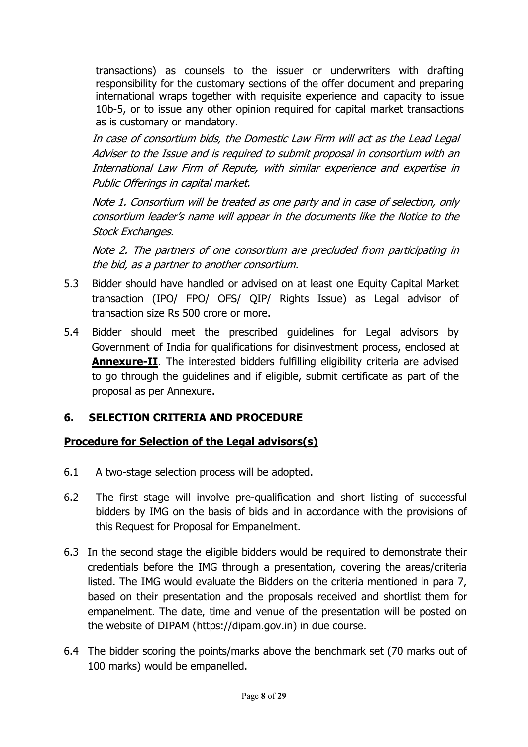transactions) as counsels to the issuer or underwriters with drafting responsibility for the customary sections of the offer document and preparing international wraps together with requisite experience and capacity to issue 10b-5, or to issue any other opinion required for capital market transactions as is customary or mandatory.

In case of consortium bids, the Domestic Law Firm will act as the Lead Legal Adviser to the Issue and is required to submit proposal in consortium with an International Law Firm of Repute, with similar experience and expertise in Public Offerings in capital market.

Note 1. Consortium will be treated as one party and in case of selection, only consortium leader's name will appear in the documents like the Notice to the Stock Exchanges.

Note 2. The partners of one consortium are precluded from participating in the bid, as a partner to another consortium.

- 5.3 Bidder should have handled or advised on at least one Equity Capital Market transaction (IPO/ FPO/ OFS/ QIP/ Rights Issue) as Legal advisor of transaction size Rs 500 crore or more.
- 5.4 Bidder should meet the prescribed guidelines for Legal advisors by Government of India for qualifications for disinvestment process, enclosed at **Annexure-II**. The interested bidders fulfilling eligibility criteria are advised to go through the guidelines and if eligible, submit certificate as part of the proposal as per Annexure.

## 6. SELECTION CRITERIA AND PROCEDURE

## Procedure for Selection of the Legal advisors(s)

- 6.1 A two-stage selection process will be adopted.
- 6.2 The first stage will involve pre-qualification and short listing of successful bidders by IMG on the basis of bids and in accordance with the provisions of this Request for Proposal for Empanelment.
- 6.3 In the second stage the eligible bidders would be required to demonstrate their credentials before the IMG through a presentation, covering the areas/criteria listed. The IMG would evaluate the Bidders on the criteria mentioned in para 7, based on their presentation and the proposals received and shortlist them for empanelment. The date, time and venue of the presentation will be posted on the website of DIPAM (https://dipam.gov.in) in due course.
- 6.4 The bidder scoring the points/marks above the benchmark set (70 marks out of 100 marks) would be empanelled.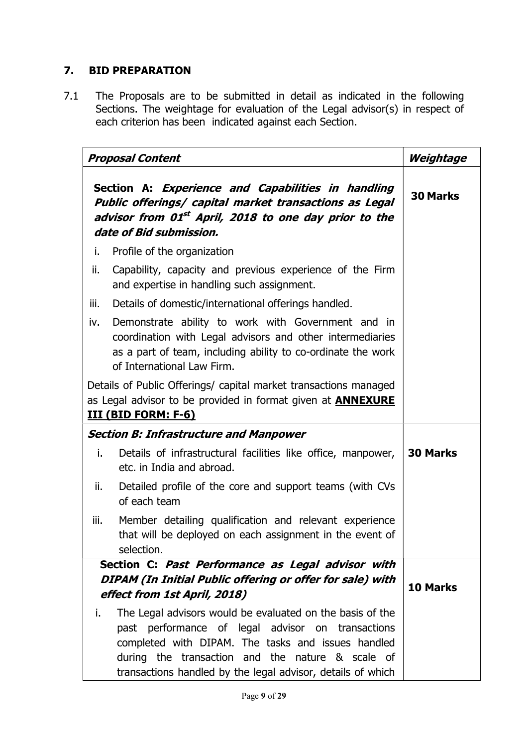## 7. BID PREPARATION

7.1 The Proposals are to be submitted in detail as indicated in the following Sections. The weightage for evaluation of the Legal advisor(s) in respect of each criterion has been indicated against each Section.

|      | <b>Proposal Content</b>                                                                                                                                                                                                    | Weightage       |
|------|----------------------------------------------------------------------------------------------------------------------------------------------------------------------------------------------------------------------------|-----------------|
|      | Section A: Experience and Capabilities in handling<br>Public offerings/ capital market transactions as Legal<br>advisor from 01 <sup>st</sup> April, 2018 to one day prior to the<br>date of Bid submission.               | <b>30 Marks</b> |
| i.   | Profile of the organization                                                                                                                                                                                                |                 |
| ii.  | Capability, capacity and previous experience of the Firm<br>and expertise in handling such assignment.                                                                                                                     |                 |
| iii. | Details of domestic/international offerings handled.                                                                                                                                                                       |                 |
| iv.  |                                                                                                                                                                                                                            |                 |
|      | Details of Public Offerings/ capital market transactions managed                                                                                                                                                           |                 |
|      | as Legal advisor to be provided in format given at <b>ANNEXURE</b>                                                                                                                                                         |                 |
|      | <b>III (BID FORM: F-6)</b>                                                                                                                                                                                                 |                 |
|      | <b>Section B: Infrastructure and Manpower</b>                                                                                                                                                                              |                 |
| i.   | Details of infrastructural facilities like office, manpower,<br>etc. in India and abroad.                                                                                                                                  | <b>30 Marks</b> |
| ii.  | Detailed profile of the core and support teams (with CVs<br>of each team                                                                                                                                                   |                 |
| iii. | Member detailing qualification and relevant experience<br>that will be deployed on each assignment in the event of<br>selection.                                                                                           |                 |
|      | Section C: Past Performance as Legal advisor with                                                                                                                                                                          |                 |
|      | DIPAM (In Initial Public offering or offer for sale) with<br>effect from 1st April, 2018)                                                                                                                                  | 10 Marks        |
| i.   | The Legal advisors would be evaluated on the basis of the                                                                                                                                                                  |                 |
|      | past performance of legal advisor on transactions<br>completed with DIPAM. The tasks and issues handled<br>during the transaction and the nature & scale of<br>transactions handled by the legal advisor, details of which |                 |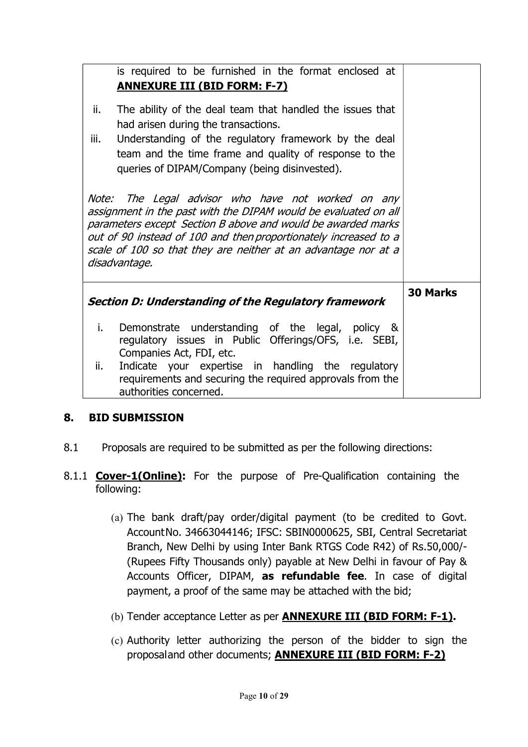| ii.<br>iii. | is required to be furnished in the format enclosed at<br><b>ANNEXURE III (BID FORM: F-7)</b><br>The ability of the deal team that handled the issues that<br>had arisen during the transactions.<br>Understanding of the regulatory framework by the deal<br>team and the time frame and quality of response to the<br>queries of DIPAM/Company (being disinvested). |                 |  |  |
|-------------|----------------------------------------------------------------------------------------------------------------------------------------------------------------------------------------------------------------------------------------------------------------------------------------------------------------------------------------------------------------------|-----------------|--|--|
|             | Note: The Legal advisor who have not worked on any<br>assignment in the past with the DIPAM would be evaluated on all<br>parameters except Section B above and would be awarded marks<br>out of 90 instead of 100 and then proportionately increased to a<br>scale of 100 so that they are neither at an advantage nor at a<br>disadvantage.                         |                 |  |  |
|             | Section D: Understanding of the Regulatory framework                                                                                                                                                                                                                                                                                                                 | <b>30 Marks</b> |  |  |
| i.          | Demonstrate understanding of the legal, policy &<br>regulatory issues in Public Offerings/OFS, i.e. SEBI,<br>Companies Act, FDI, etc.                                                                                                                                                                                                                                |                 |  |  |
| ii.         | Indicate your expertise in handling the regulatory<br>requirements and securing the required approvals from the<br>authorities concerned.                                                                                                                                                                                                                            |                 |  |  |

#### 8. BID SUBMISSION

- 8.1 Proposals are required to be submitted as per the following directions:
- 8.1.1 **Cover-1(Online):** For the purpose of Pre-Qualification containing the following:
	- (a) The bank draft/pay order/digital payment (to be credited to Govt. Account No. 34663044146; IFSC: SBIN0000625, SBI, Central Secretariat Branch, New Delhi by using Inter Bank RTGS Code R42) of Rs.50,000/- (Rupees Fifty Thousands only) payable at New Delhi in favour of Pay & Accounts Officer, DIPAM, as refundable fee. In case of digital payment, a proof of the same may be attached with the bid;
	- (b) Tender acceptance Letter as per **ANNEXURE III (BID FORM: F-1).**
	- (c) Authority letter authorizing the person of the bidder to sign the proposal and other documents; ANNEXURE III (BID FORM: F-2)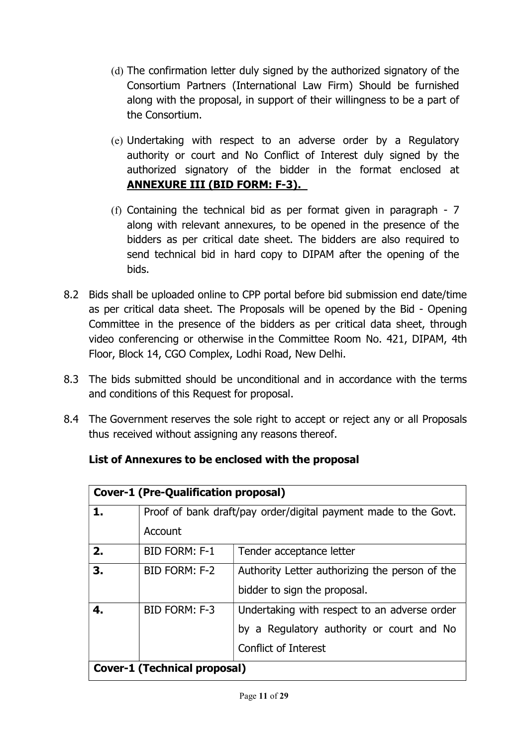- (d) The confirmation letter duly signed by the authorized signatory of the Consortium Partners (International Law Firm) Should be furnished along with the proposal, in support of their willingness to be a part of the Consortium.
- (e) Undertaking with respect to an adverse order by a Regulatory authority or court and No Conflict of Interest duly signed by the authorized signatory of the bidder in the format enclosed at ANNEXURE III (BID FORM: F-3).
- (f) Containing the technical bid as per format given in paragraph 7 along with relevant annexures, to be opened in the presence of the bidders as per critical date sheet. The bidders are also required to send technical bid in hard copy to DIPAM after the opening of the bids.
- 8.2 Bids shall be uploaded online to CPP portal before bid submission end date/time as per critical data sheet. The Proposals will be opened by the Bid - Opening Committee in the presence of the bidders as per critical data sheet, through video conferencing or otherwise in the Committee Room No. 421, DIPAM, 4th Floor, Block 14, CGO Complex, Lodhi Road, New Delhi.
- 8.3 The bids submitted should be unconditional and in accordance with the terms and conditions of this Request for proposal.
- 8.4 The Government reserves the sole right to accept or reject any or all Proposals thus received without assigning any reasons thereof.

|                                     | <b>Cover-1 (Pre-Qualification proposal)</b>                     |                                                |  |  |  |
|-------------------------------------|-----------------------------------------------------------------|------------------------------------------------|--|--|--|
| 1.                                  | Proof of bank draft/pay order/digital payment made to the Govt. |                                                |  |  |  |
|                                     | Account                                                         |                                                |  |  |  |
| 2.                                  | <b>BID FORM: F-1</b>                                            | Tender acceptance letter                       |  |  |  |
| 3.                                  | BID FORM: F-2                                                   | Authority Letter authorizing the person of the |  |  |  |
|                                     |                                                                 | bidder to sign the proposal.                   |  |  |  |
| 4.                                  | BID FORM: F-3                                                   | Undertaking with respect to an adverse order   |  |  |  |
|                                     | by a Regulatory authority or court and No                       |                                                |  |  |  |
|                                     | <b>Conflict of Interest</b>                                     |                                                |  |  |  |
| <b>Cover-1 (Technical proposal)</b> |                                                                 |                                                |  |  |  |

## List of Annexures to be enclosed with the proposal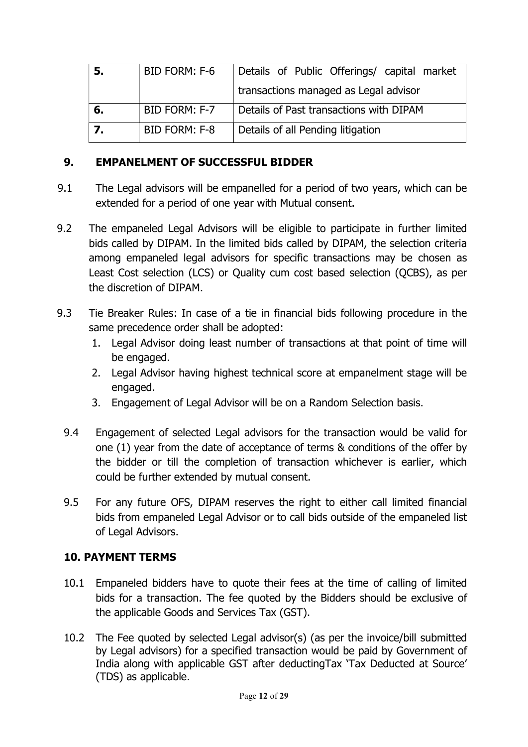| 5. | BID FORM: F-6 | Details of Public Offerings/ capital market |  |  |
|----|---------------|---------------------------------------------|--|--|
|    |               | transactions managed as Legal advisor       |  |  |
| 6. | BID FORM: F-7 | Details of Past transactions with DIPAM     |  |  |
|    | BID FORM: F-8 | Details of all Pending litigation           |  |  |

#### 9. EMPANELMENT OF SUCCESSFUL BIDDER

- 9.1 The Legal advisors will be empanelled for a period of two years, which can be extended for a period of one year with Mutual consent.
- 9.2 The empaneled Legal Advisors will be eligible to participate in further limited bids called by DIPAM. In the limited bids called by DIPAM, the selection criteria among empaneled legal advisors for specific transactions may be chosen as Least Cost selection (LCS) or Quality cum cost based selection (QCBS), as per the discretion of DIPAM.
- 9.3 Tie Breaker Rules: In case of a tie in financial bids following procedure in the same precedence order shall be adopted:
	- 1. Legal Advisor doing least number of transactions at that point of time will be engaged.
	- 2. Legal Advisor having highest technical score at empanelment stage will be engaged.
	- 3. Engagement of Legal Advisor will be on a Random Selection basis.
	- 9.4 Engagement of selected Legal advisors for the transaction would be valid for one (1) year from the date of acceptance of terms & conditions of the offer by the bidder or till the completion of transaction whichever is earlier, which could be further extended by mutual consent.
	- 9.5 For any future OFS, DIPAM reserves the right to either call limited financial bids from empaneled Legal Advisor or to call bids outside of the empaneled list of Legal Advisors.

### 10. PAYMENT TERMS

- 10.1 Empaneled bidders have to quote their fees at the time of calling of limited bids for a transaction. The fee quoted by the Bidders should be exclusive of the applicable Goods and Services Tax (GST).
- 10.2 The Fee quoted by selected Legal advisor(s) (as per the invoice/bill submitted by Legal advisors) for a specified transaction would be paid by Government of India along with applicable GST after deductingTax 'Tax Deducted at Source' (TDS) as applicable.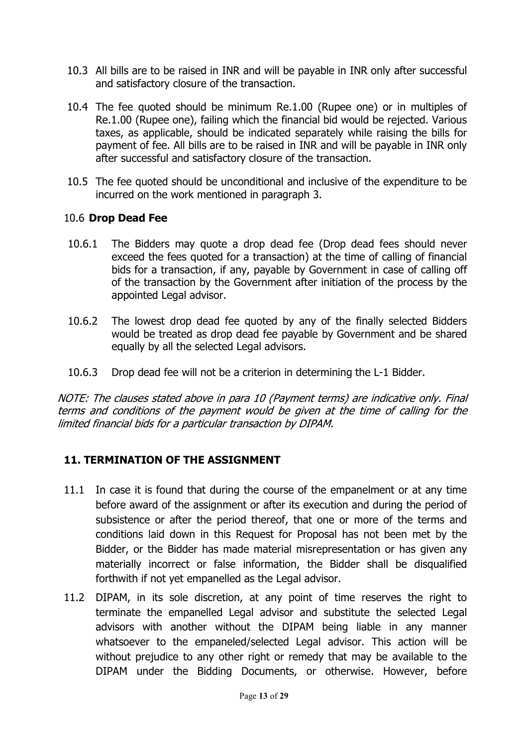- 10.3 All bills are to be raised in INR and will be payable in INR only after successful and satisfactory closure of the transaction.
- 10.4 The fee quoted should be minimum Re.1.00 (Rupee one) or in multiples of Re.1.00 (Rupee one), failing which the financial bid would be rejected. Various taxes, as applicable, should be indicated separately while raising the bills for payment of fee. All bills are to be raised in INR and will be payable in INR only after successful and satisfactory closure of the transaction.
- 10.5 The fee quoted should be unconditional and inclusive of the expenditure to be incurred on the work mentioned in paragraph 3.

### 10.6 Drop Dead Fee

- 10.6.1 The Bidders may quote a drop dead fee (Drop dead fees should never exceed the fees quoted for a transaction) at the time of calling of financial bids for a transaction, if any, payable by Government in case of calling off of the transaction by the Government after initiation of the process by the appointed Legal advisor.
- 10.6.2 The lowest drop dead fee quoted by any of the finally selected Bidders would be treated as drop dead fee payable by Government and be shared equally by all the selected Legal advisors.
- 10.6.3 Drop dead fee will not be a criterion in determining the L-1 Bidder.

NOTE: The clauses stated above in para 10 (Payment terms) are indicative only. Final terms and conditions of the payment would be given at the time of calling for the limited financial bids for a particular transaction by DIPAM.

### 11. TERMINATION OF THE ASSIGNMENT

- 11.1 In case it is found that during the course of the empanelment or at any time before award of the assignment or after its execution and during the period of subsistence or after the period thereof, that one or more of the terms and conditions laid down in this Request for Proposal has not been met by the Bidder, or the Bidder has made material misrepresentation or has given any materially incorrect or false information, the Bidder shall be disqualified forthwith if not yet empanelled as the Legal advisor.
- 11.2 DIPAM, in its sole discretion, at any point of time reserves the right to terminate the empanelled Legal advisor and substitute the selected Legal advisors with another without the DIPAM being liable in any manner whatsoever to the empaneled/selected Legal advisor. This action will be without prejudice to any other right or remedy that may be available to the DIPAM under the Bidding Documents, or otherwise. However, before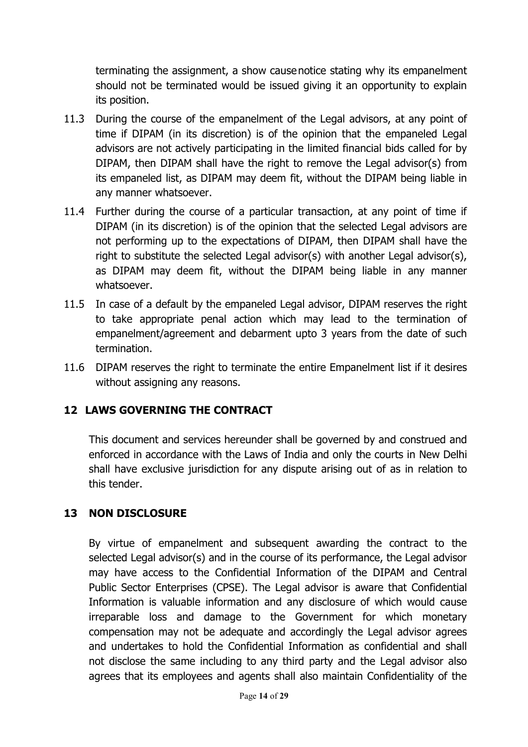terminating the assignment, a show cause notice stating why its empanelment should not be terminated would be issued giving it an opportunity to explain its position.

- 11.3 During the course of the empanelment of the Legal advisors, at any point of time if DIPAM (in its discretion) is of the opinion that the empaneled Legal advisors are not actively participating in the limited financial bids called for by DIPAM, then DIPAM shall have the right to remove the Legal advisor(s) from its empaneled list, as DIPAM may deem fit, without the DIPAM being liable in any manner whatsoever.
- 11.4 Further during the course of a particular transaction, at any point of time if DIPAM (in its discretion) is of the opinion that the selected Legal advisors are not performing up to the expectations of DIPAM, then DIPAM shall have the right to substitute the selected Legal advisor(s) with another Legal advisor(s), as DIPAM may deem fit, without the DIPAM being liable in any manner whatsoever.
- 11.5 In case of a default by the empaneled Legal advisor, DIPAM reserves the right to take appropriate penal action which may lead to the termination of empanelment/agreement and debarment upto 3 years from the date of such termination.
- 11.6 DIPAM reserves the right to terminate the entire Empanelment list if it desires without assigning any reasons.

## 12 LAWS GOVERNING THE CONTRACT

This document and services hereunder shall be governed by and construed and enforced in accordance with the Laws of India and only the courts in New Delhi shall have exclusive jurisdiction for any dispute arising out of as in relation to this tender.

### 13 NON DISCLOSURE

By virtue of empanelment and subsequent awarding the contract to the selected Legal advisor(s) and in the course of its performance, the Legal advisor may have access to the Confidential Information of the DIPAM and Central Public Sector Enterprises (CPSE). The Legal advisor is aware that Confidential Information is valuable information and any disclosure of which would cause irreparable loss and damage to the Government for which monetary compensation may not be adequate and accordingly the Legal advisor agrees and undertakes to hold the Confidential Information as confidential and shall not disclose the same including to any third party and the Legal advisor also agrees that its employees and agents shall also maintain Confidentiality of the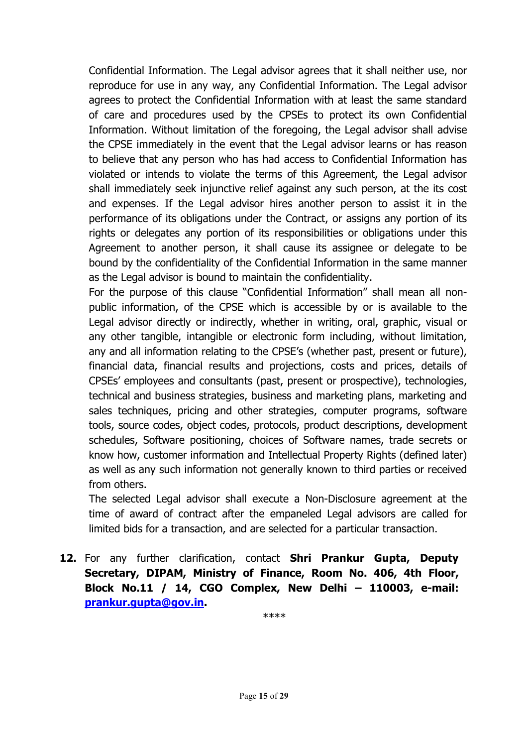Confidential Information. The Legal advisor agrees that it shall neither use, nor reproduce for use in any way, any Confidential Information. The Legal advisor agrees to protect the Confidential Information with at least the same standard of care and procedures used by the CPSEs to protect its own Confidential Information. Without limitation of the foregoing, the Legal advisor shall advise the CPSE immediately in the event that the Legal advisor learns or has reason to believe that any person who has had access to Confidential Information has violated or intends to violate the terms of this Agreement, the Legal advisor shall immediately seek injunctive relief against any such person, at the its cost and expenses. If the Legal advisor hires another person to assist it in the performance of its obligations under the Contract, or assigns any portion of its rights or delegates any portion of its responsibilities or obligations under this Agreement to another person, it shall cause its assignee or delegate to be bound by the confidentiality of the Confidential Information in the same manner as the Legal advisor is bound to maintain the confidentiality.

For the purpose of this clause "Confidential Information" shall mean all nonpublic information, of the CPSE which is accessible by or is available to the Legal advisor directly or indirectly, whether in writing, oral, graphic, visual or any other tangible, intangible or electronic form including, without limitation, any and all information relating to the CPSE's (whether past, present or future), financial data, financial results and projections, costs and prices, details of CPSEs' employees and consultants (past, present or prospective), technologies, technical and business strategies, business and marketing plans, marketing and sales techniques, pricing and other strategies, computer programs, software tools, source codes, object codes, protocols, product descriptions, development schedules, Software positioning, choices of Software names, trade secrets or know how, customer information and Intellectual Property Rights (defined later) as well as any such information not generally known to third parties or received from others.

The selected Legal advisor shall execute a Non-Disclosure agreement at the time of award of contract after the empaneled Legal advisors are called for limited bids for a transaction, and are selected for a particular transaction.

12. For any further clarification, contact Shri Prankur Gupta, Deputy Secretary, DIPAM, Ministry of Finance, Room No. 406, 4th Floor, Block No.11 / 14, CGO Complex, New Delhi – 110003, e-mail: prankur.gupta@gov.in.

\*\*\*\*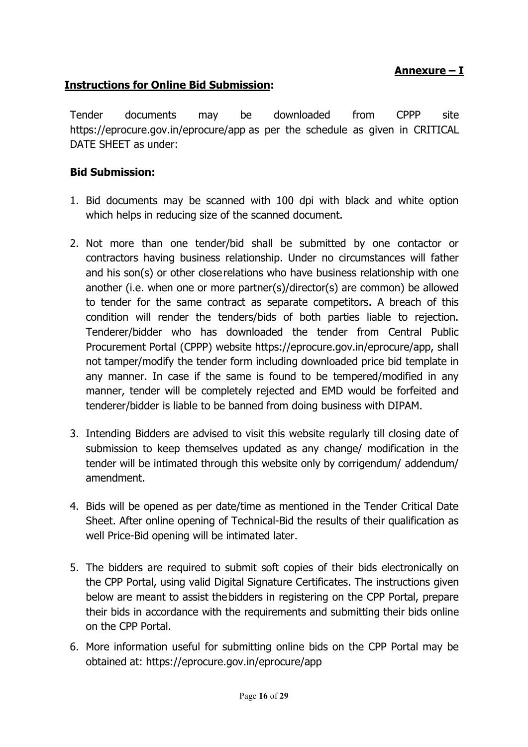## Annexure – I

## Instructions for Online Bid Submission:

Tender documents may be downloaded from CPPP site https://eprocure.gov.in/eprocure/app as per the schedule as given in CRITICAL DATE SHEET as under:

### Bid Submission:

- 1. Bid documents may be scanned with 100 dpi with black and white option which helps in reducing size of the scanned document.
- 2. Not more than one tender/bid shall be submitted by one contactor or contractors having business relationship. Under no circumstances will father and his son(s) or other close relations who have business relationship with one another (i.e. when one or more partner(s)/director(s) are common) be allowed to tender for the same contract as separate competitors. A breach of this condition will render the tenders/bids of both parties liable to rejection. Tenderer/bidder who has downloaded the tender from Central Public Procurement Portal (CPPP) website https://eprocure.gov.in/eprocure/app, shall not tamper/modify the tender form including downloaded price bid template in any manner. In case if the same is found to be tempered/modified in any manner, tender will be completely rejected and EMD would be forfeited and tenderer/bidder is liable to be banned from doing business with DIPAM.
- 3. Intending Bidders are advised to visit this website regularly till closing date of submission to keep themselves updated as any change/ modification in the tender will be intimated through this website only by corrigendum/ addendum/ amendment.
- 4. Bids will be opened as per date/time as mentioned in the Tender Critical Date Sheet. After online opening of Technical-Bid the results of their qualification as well Price-Bid opening will be intimated later.
- 5. The bidders are required to submit soft copies of their bids electronically on the CPP Portal, using valid Digital Signature Certificates. The instructions given below are meant to assist the bidders in registering on the CPP Portal, prepare their bids in accordance with the requirements and submitting their bids online on the CPP Portal.
- 6. More information useful for submitting online bids on the CPP Portal may be obtained at: https://eprocure.gov.in/eprocure/app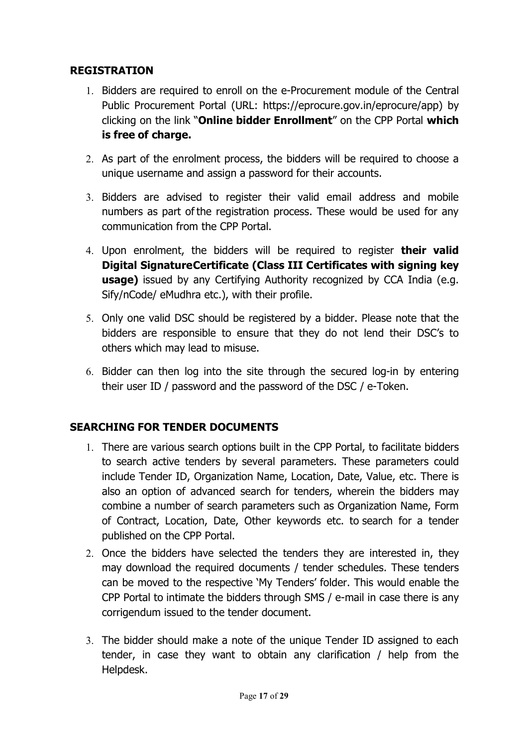### REGISTRATION

- 1. Bidders are required to enroll on the e-Procurement module of the Central Public Procurement Portal (URL: https://eprocure.gov.in/eprocure/app) by clicking on the link "Online bidder Enrollment" on the CPP Portal which is free of charge.
- 2. As part of the enrolment process, the bidders will be required to choose a unique username and assign a password for their accounts.
- 3. Bidders are advised to register their valid email address and mobile numbers as part of the registration process. These would be used for any communication from the CPP Portal.
- 4. Upon enrolment, the bidders will be required to register **their valid** Digital Signature Certificate (Class III Certificates with signing key **usage)** issued by any Certifying Authority recognized by CCA India (e.g. Sify/nCode/ eMudhra etc.), with their profile.
- 5. Only one valid DSC should be registered by a bidder. Please note that the bidders are responsible to ensure that they do not lend their DSC's to others which may lead to misuse.
- 6. Bidder can then log into the site through the secured log-in by entering their user ID / password and the password of the DSC / e-Token.

## SEARCHING FOR TENDER DOCUMENTS

- 1. There are various search options built in the CPP Portal, to facilitate bidders to search active tenders by several parameters. These parameters could include Tender ID, Organization Name, Location, Date, Value, etc. There is also an option of advanced search for tenders, wherein the bidders may combine a number of search parameters such as Organization Name, Form of Contract, Location, Date, Other keywords etc. to search for a tender published on the CPP Portal.
- 2. Once the bidders have selected the tenders they are interested in, they may download the required documents / tender schedules. These tenders can be moved to the respective 'My Tenders' folder. This would enable the CPP Portal to intimate the bidders through SMS / e-mail in case there is any corrigendum issued to the tender document.
- 3. The bidder should make a note of the unique Tender ID assigned to each tender, in case they want to obtain any clarification / help from the Helpdesk.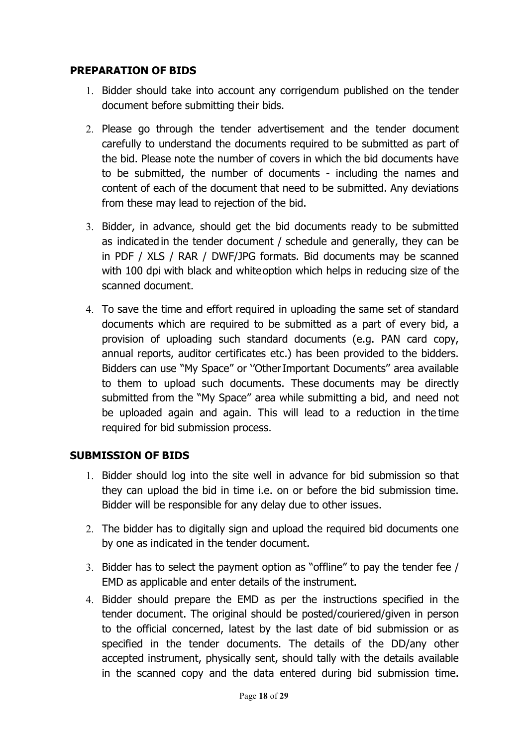#### PREPARATION OF BIDS

- 1. Bidder should take into account any corrigendum published on the tender document before submitting their bids.
- 2. Please go through the tender advertisement and the tender document carefully to understand the documents required to be submitted as part of the bid. Please note the number of covers in which the bid documents have to be submitted, the number of documents - including the names and content of each of the document that need to be submitted. Any deviations from these may lead to rejection of the bid.
- 3. Bidder, in advance, should get the bid documents ready to be submitted as indicated in the tender document / schedule and generally, they can be in PDF / XLS / RAR / DWF/JPG formats. Bid documents may be scanned with 100 dpi with black and white option which helps in reducing size of the scanned document.
- 4. To save the time and effort required in uploading the same set of standard documents which are required to be submitted as a part of every bid, a provision of uploading such standard documents (e.g. PAN card copy, annual reports, auditor certificates etc.) has been provided to the bidders. Bidders can use "My Space" or ''Other Important Documents'' area available to them to upload such documents. These documents may be directly submitted from the "My Space" area while submitting a bid, and need not be uploaded again and again. This will lead to a reduction in the time required for bid submission process.

#### SUBMISSION OF BIDS

- 1. Bidder should log into the site well in advance for bid submission so that they can upload the bid in time i.e. on or before the bid submission time. Bidder will be responsible for any delay due to other issues.
- 2. The bidder has to digitally sign and upload the required bid documents one by one as indicated in the tender document.
- 3. Bidder has to select the payment option as "offline" to pay the tender fee / EMD as applicable and enter details of the instrument.
- 4. Bidder should prepare the EMD as per the instructions specified in the tender document. The original should be posted/couriered/given in person to the official concerned, latest by the last date of bid submission or as specified in the tender documents. The details of the DD/any other accepted instrument, physically sent, should tally with the details available in the scanned copy and the data entered during bid submission time.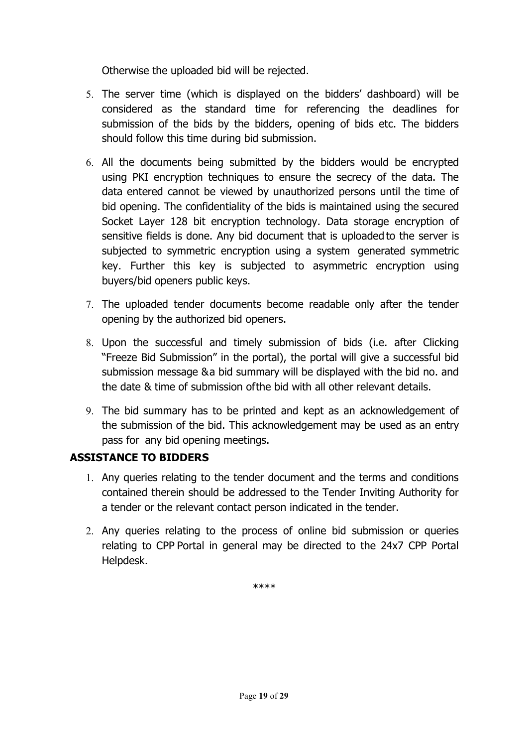Otherwise the uploaded bid will be rejected.

- 5. The server time (which is displayed on the bidders' dashboard) will be considered as the standard time for referencing the deadlines for submission of the bids by the bidders, opening of bids etc. The bidders should follow this time during bid submission.
- 6. All the documents being submitted by the bidders would be encrypted using PKI encryption techniques to ensure the secrecy of the data. The data entered cannot be viewed by unauthorized persons until the time of bid opening. The confidentiality of the bids is maintained using the secured Socket Layer 128 bit encryption technology. Data storage encryption of sensitive fields is done. Any bid document that is uploaded to the server is subjected to symmetric encryption using a system generated symmetric key. Further this key is subjected to asymmetric encryption using buyers/bid openers public keys.
- 7. The uploaded tender documents become readable only after the tender opening by the authorized bid openers.
- 8. Upon the successful and timely submission of bids (i.e. after Clicking "Freeze Bid Submission" in the portal), the portal will give a successful bid submission message & a bid summary will be displayed with the bid no. and the date & time of submission of the bid with all other relevant details.
- 9. The bid summary has to be printed and kept as an acknowledgement of the submission of the bid. This acknowledgement may be used as an entry pass for any bid opening meetings.

### ASSISTANCE TO BIDDERS

- 1. Any queries relating to the tender document and the terms and conditions contained therein should be addressed to the Tender Inviting Authority for a tender or the relevant contact person indicated in the tender.
- 2. Any queries relating to the process of online bid submission or queries relating to CPP Portal in general may be directed to the 24x7 CPP Portal Helpdesk.

\*\*\*\*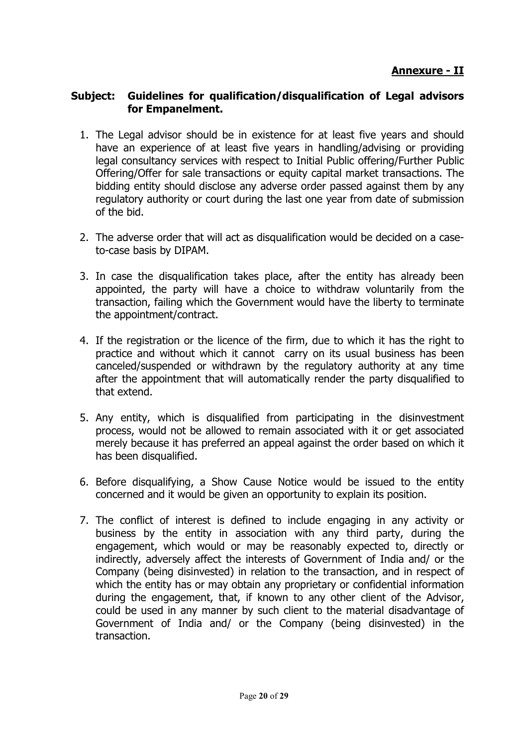#### Subject: Guidelines for qualification/disqualification of Legal advisors for Empanelment.

- 1. The Legal advisor should be in existence for at least five years and should have an experience of at least five years in handling/advising or providing legal consultancy services with respect to Initial Public offering/Further Public Offering/Offer for sale transactions or equity capital market transactions. The bidding entity should disclose any adverse order passed against them by any regulatory authority or court during the last one year from date of submission of the bid.
- 2. The adverse order that will act as disqualification would be decided on a caseto-case basis by DIPAM.
- 3. In case the disqualification takes place, after the entity has already been appointed, the party will have a choice to withdraw voluntarily from the transaction, failing which the Government would have the liberty to terminate the appointment/contract.
- 4. If the registration or the licence of the firm, due to which it has the right to practice and without which it cannot carry on its usual business has been canceled/suspended or withdrawn by the regulatory authority at any time after the appointment that will automatically render the party disqualified to that extend.
- 5. Any entity, which is disqualified from participating in the disinvestment process, would not be allowed to remain associated with it or get associated merely because it has preferred an appeal against the order based on which it has been disqualified.
- 6. Before disqualifying, a Show Cause Notice would be issued to the entity concerned and it would be given an opportunity to explain its position.
- 7. The conflict of interest is defined to include engaging in any activity or business by the entity in association with any third party, during the engagement, which would or may be reasonably expected to, directly or indirectly, adversely affect the interests of Government of India and/ or the Company (being disinvested) in relation to the transaction, and in respect of which the entity has or may obtain any proprietary or confidential information during the engagement, that, if known to any other client of the Advisor, could be used in any manner by such client to the material disadvantage of Government of India and/ or the Company (being disinvested) in the transaction.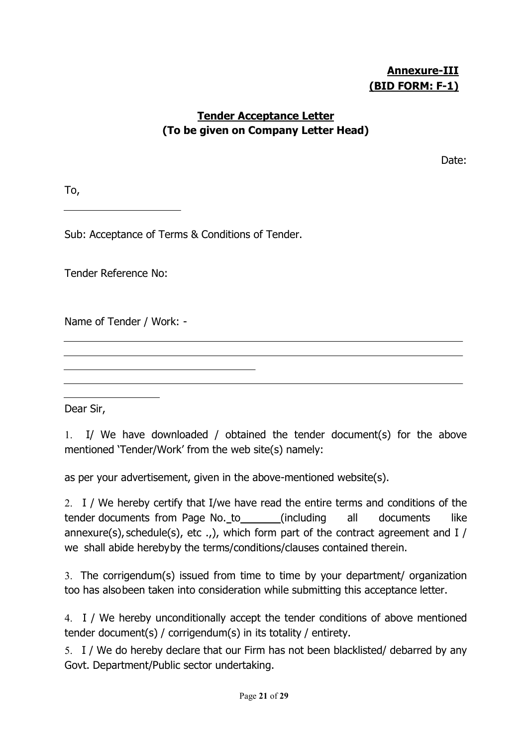## Annexure-III (BID FORM: F-1)

### Tender Acceptance Letter (To be given on Company Letter Head)

Date:

To,

Sub: Acceptance of Terms & Conditions of Tender.

Tender Reference No:

Name of Tender / Work: -

Dear Sir,

1. I/ We have downloaded / obtained the tender document(s) for the above mentioned 'Tender/Work' from the web site(s) namely:

as per your advertisement, given in the above-mentioned website(s).

2. I / We hereby certify that I/we have read the entire terms and conditions of the tender documents from Page No.\_to\_\_\_\_\_\_\_(including all documents like annexure(s), schedule(s), etc .,), which form part of the contract agreement and  $I / I$ we shall abide hereby by the terms/conditions/clauses contained therein.

3. The corrigendum(s) issued from time to time by your department/ organization too has also been taken into consideration while submitting this acceptance letter.

4. I / We hereby unconditionally accept the tender conditions of above mentioned tender document(s) / corrigendum(s) in its totality / entirety.

5. I / We do hereby declare that our Firm has not been blacklisted/ debarred by any Govt. Department/Public sector undertaking.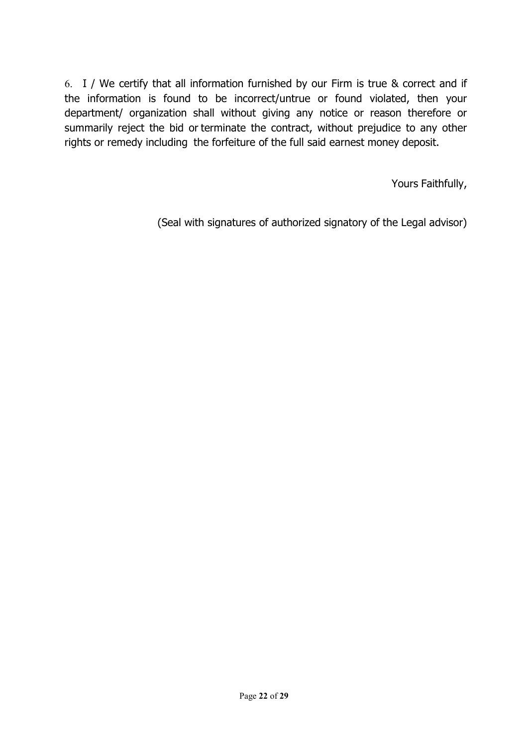6. I / We certify that all information furnished by our Firm is true & correct and if the information is found to be incorrect/untrue or found violated, then your department/ organization shall without giving any notice or reason therefore or summarily reject the bid or terminate the contract, without prejudice to any other rights or remedy including the forfeiture of the full said earnest money deposit.

Yours Faithfully,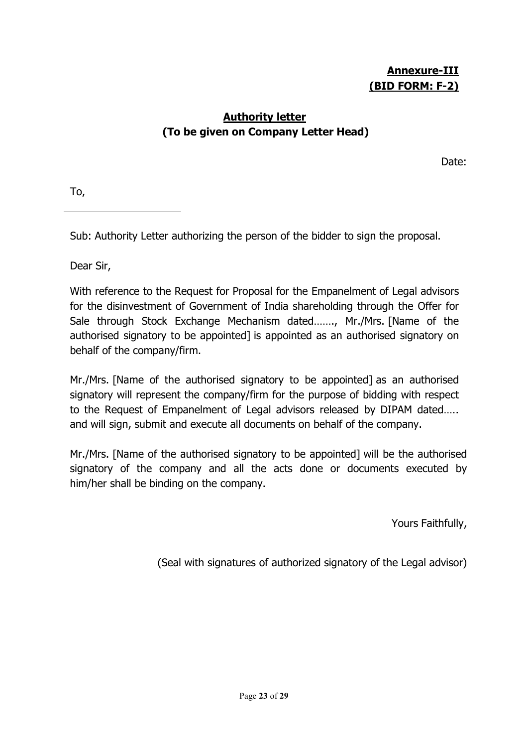## Annexure-III (BID FORM: F-2)

### Authority letter (To be given on Company Letter Head)

Date:

To,

Sub: Authority Letter authorizing the person of the bidder to sign the proposal.

Dear Sir,

With reference to the Request for Proposal for the Empanelment of Legal advisors for the disinvestment of Government of India shareholding through the Offer for Sale through Stock Exchange Mechanism dated……., Mr./Mrs. [Name of the authorised signatory to be appointed] is appointed as an authorised signatory on behalf of the company/firm.

Mr./Mrs. [Name of the authorised signatory to be appointed] as an authorised signatory will represent the company/firm for the purpose of bidding with respect to the Request of Empanelment of Legal advisors released by DIPAM dated….. and will sign, submit and execute all documents on behalf of the company.

Mr./Mrs. [Name of the authorised signatory to be appointed] will be the authorised signatory of the company and all the acts done or documents executed by him/her shall be binding on the company.

Yours Faithfully,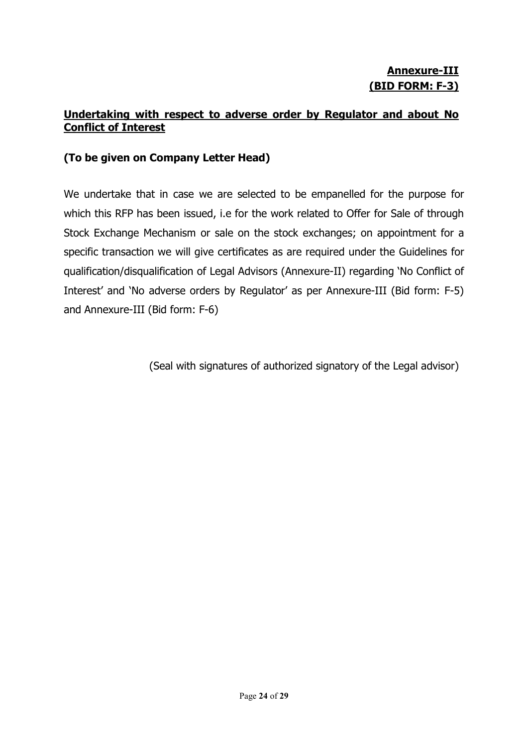## Annexure-III (BID FORM: F-3)

### Undertaking with respect to adverse order by Regulator and about No Conflict of Interest

### (To be given on Company Letter Head)

We undertake that in case we are selected to be empanelled for the purpose for which this RFP has been issued, i.e for the work related to Offer for Sale of through Stock Exchange Mechanism or sale on the stock exchanges; on appointment for a specific transaction we will give certificates as are required under the Guidelines for qualification/disqualification of Legal Advisors (Annexure-II) regarding 'No Conflict of Interest' and 'No adverse orders by Regulator' as per Annexure-III (Bid form: F-5) and Annexure-III (Bid form: F-6)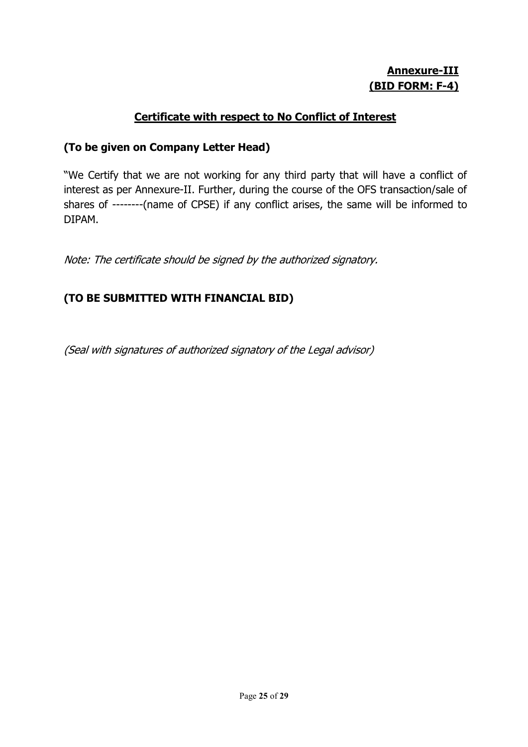## Annexure-III (BID FORM: F-4)

### Certificate with respect to No Conflict of Interest

#### (To be given on Company Letter Head)

"We Certify that we are not working for any third party that will have a conflict of interest as per Annexure-II. Further, during the course of the OFS transaction/sale of shares of --------(name of CPSE) if any conflict arises, the same will be informed to DIPAM.

Note: The certificate should be signed by the authorized signatory.

## (TO BE SUBMITTED WITH FINANCIAL BID)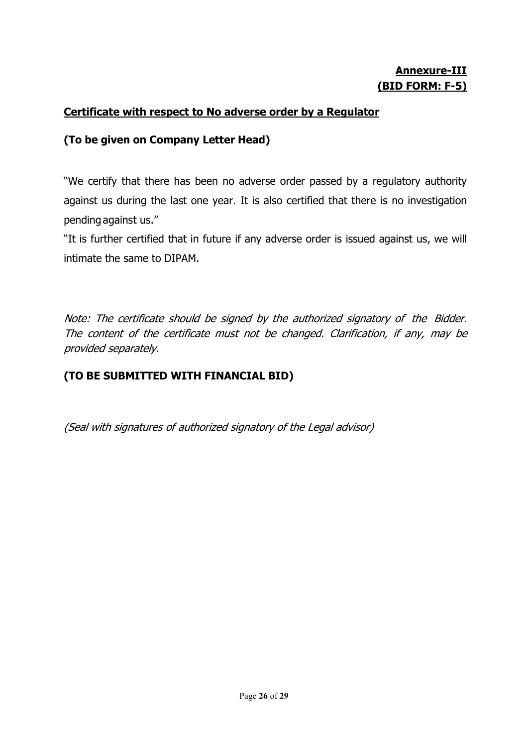## Annexure-III (BID FORM: F-5)

### Certificate with respect to No adverse order by a Regulator

### (To be given on Company Letter Head)

"We certify that there has been no adverse order passed by a regulatory authority against us during the last one year. It is also certified that there is no investigation pending against us."

"It is further certified that in future if any adverse order is issued against us, we will intimate the same to DIPAM.

Note: The certificate should be signed by the authorized signatory of the Bidder. The content of the certificate must not be changed. Clarification, if any, may be provided separately.

### (TO BE SUBMITTED WITH FINANCIAL BID)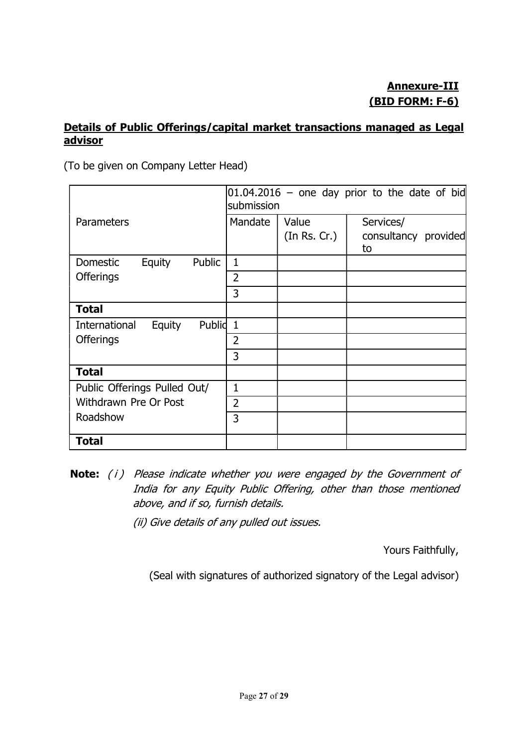### Details of Public Offerings/capital market transactions managed as Legal advisor

(To be given on Company Letter Head)

|                                   | $[01.04.2016 -$ one day prior to the date of bid<br>submission |              |                      |  |
|-----------------------------------|----------------------------------------------------------------|--------------|----------------------|--|
| Parameters                        | Mandate                                                        | Value        | Services/            |  |
|                                   |                                                                | (In Rs. Cr.) | consultancy provided |  |
|                                   |                                                                |              | to                   |  |
| Public<br>Domestic<br>Equity      | $\mathbf{1}$                                                   |              |                      |  |
| <b>Offerings</b>                  | 2                                                              |              |                      |  |
|                                   | 3                                                              |              |                      |  |
| <b>Total</b>                      |                                                                |              |                      |  |
| Publid<br>International<br>Equity | $\mathbf{1}$                                                   |              |                      |  |
| <b>Offerings</b>                  | $\overline{2}$                                                 |              |                      |  |
|                                   | 3                                                              |              |                      |  |
| <b>Total</b>                      |                                                                |              |                      |  |
| Public Offerings Pulled Out/      | $\mathbf{1}$                                                   |              |                      |  |
| Withdrawn Pre Or Post             | $\overline{2}$                                                 |              |                      |  |
| Roadshow                          | 3                                                              |              |                      |  |
| <b>Total</b>                      |                                                                |              |                      |  |

Note: (i) Please indicate whether you were engaged by the Government of India for any Equity Public Offering, other than those mentioned above, and if so, furnish details.

(ii) Give details of any pulled out issues.

Yours Faithfully,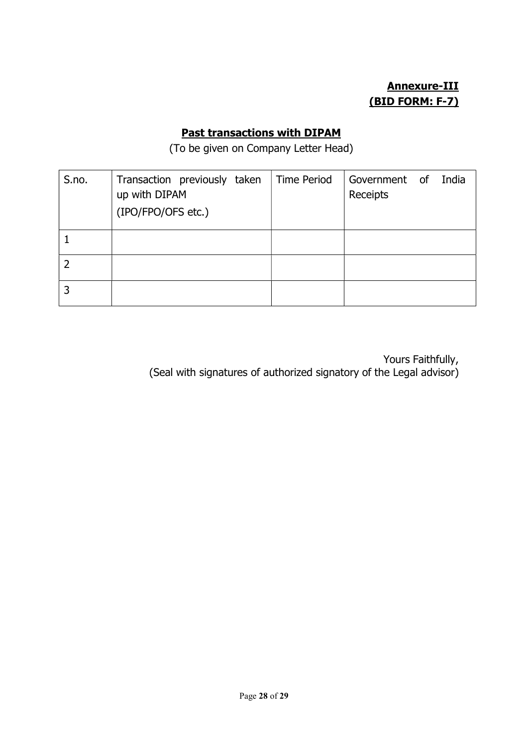# Annexure-III (BID FORM: F-7)

## Past transactions with DIPAM

(To be given on Company Letter Head)

| S.no. | Transaction previously taken<br>up with DIPAM<br>(IPO/FPO/OFS etc.) | <b>Time Period</b> | Government of India<br>Receipts |  |
|-------|---------------------------------------------------------------------|--------------------|---------------------------------|--|
|       |                                                                     |                    |                                 |  |
|       |                                                                     |                    |                                 |  |
|       |                                                                     |                    |                                 |  |

Yours Faithfully, (Seal with signatures of authorized signatory of the Legal advisor)